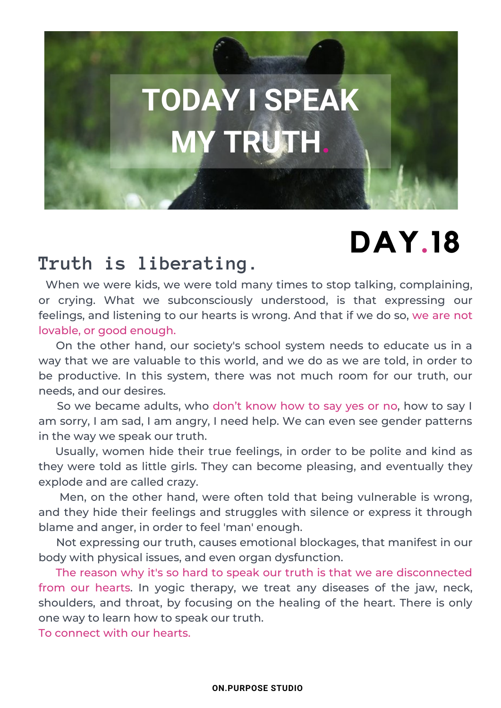# **TODAY I SPEAK MY TRUTH.**

## **DAY.18**

### **Truth is liberating.**

When we were kids, we were told many times to stop talking, complaining, or crying. What we subconsciously understood, is that expressing our feelings, and listening to our hearts is wrong. And that if we do so, we are not lovable, or good enough.

On the other hand, our society's school system needs to educate us in a way that we are valuable to this world, and we do as we are told, in order to be productive. In this system, there was not much room for our truth, our needs, and our desires.

So we became adults, who don't know how to say yes or no, how to say I am sorry, I am sad, I am angry, I need help. We can even see gender patterns in the way we speak our truth.

Usually, women hide their true feelings, in order to be polite and kind as they were told as little girls. They can become pleasing, and eventually they explode and are called crazy.

Men, on the other hand, were often told that being vulnerable is wrong, and they hide their feelings and struggles with silence or express it through blame and anger, in order to feel 'man' enough.

Not expressing our truth, causes emotional blockages, that manifest in our body with physical issues, and even organ dysfunction.

The reason why it's so hard to speak our truth is that we are disconnected from our hearts. In yogic therapy, we treat any diseases of the jaw, neck, shoulders, and throat, by focusing on the healing of the heart. There is only one way to learn how to speak our truth.

To connect with our hearts.